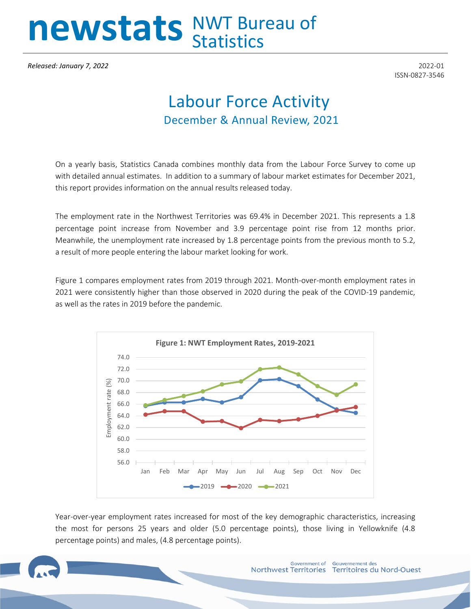## newstats NWT Bureau of

*Released: January 7, 2022* 2022-01

ISSN-0827-3546

## Labour Force Activity December & Annual Review, 2021

On a yearly basis, Statistics Canada combines monthly data from the Labour Force Survey to come up with detailed annual estimates. In addition to a summary of labour market estimates for December 2021, this report provides information on the annual results released today.

The employment rate in the Northwest Territories was 69.4% in December 2021. This represents a 1.8 percentage point increase from November and 3.9 percentage point rise from 12 months prior. Meanwhile, the unemployment rate increased by 1.8 percentage points from the previous month to 5.2, a result of more people entering the labour market looking for work.

Figure 1 compares employment rates from 2019 through 2021. Month-over-month employment rates in 2021 were consistently higher than those observed in 2020 during the peak of the COVID-19 pandemic, as well as the rates in 2019 before the pandemic.



Year-over-year employment rates increased for most of the key demographic characteristics, increasing the most for persons 25 years and older (5.0 percentage points), those living in Yellowknife (4.8 percentage points) and males, (4.8 percentage points).

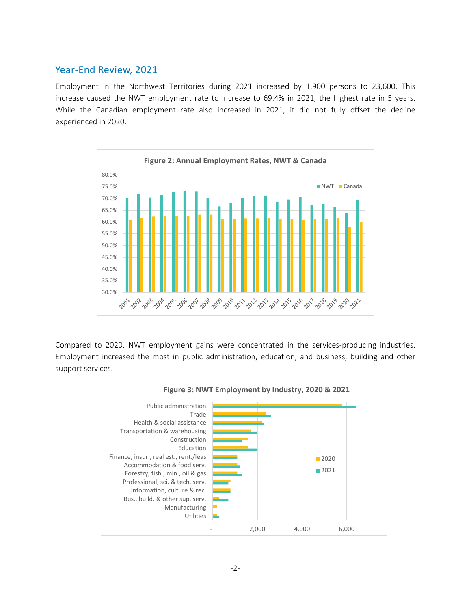## Year-End Review, 2021

Employment in the Northwest Territories during 2021 increased by 1,900 persons to 23,600. This increase caused the NWT employment rate to increase to 69.4% in 2021, the highest rate in 5 years. While the Canadian employment rate also increased in 2021, it did not fully offset the decline experienced in 2020.



Compared to 2020, NWT employment gains were concentrated in the services-producing industries. Employment increased the most in public administration, education, and business, building and other support services.